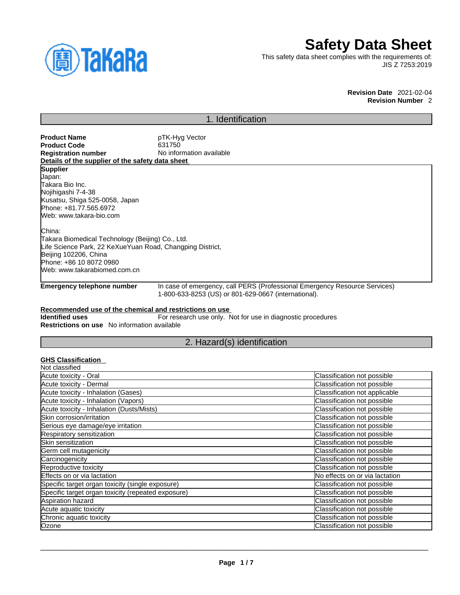

# **Safety Data Sheet**

This safety data sheet complies with the requirements of: JIS Z 7253:2019

> **Revision Date** 2021-02-04 **Revision Number** 2

# 1. Identification

| <b>Product Name</b>                                       | pTK-Hyg Vector                                                             |  |  |
|-----------------------------------------------------------|----------------------------------------------------------------------------|--|--|
| Product Code                                              | 631750                                                                     |  |  |
| <b>Registration number</b>                                | No information available                                                   |  |  |
| Details of the supplier of the safety data sheet          |                                                                            |  |  |
| <b>Supplier</b>                                           |                                                                            |  |  |
| Japan:                                                    |                                                                            |  |  |
| Takara Bio Inc.                                           |                                                                            |  |  |
| Nojihigashi 7-4-38                                        |                                                                            |  |  |
| Kusatsu, Shiga 525-0058, Japan                            |                                                                            |  |  |
| Phone: +81.77.565.6972                                    |                                                                            |  |  |
| Web: www.takara-bio.com                                   |                                                                            |  |  |
| China:                                                    |                                                                            |  |  |
| Takara Biomedical Technology (Beijing) Co., Ltd.          |                                                                            |  |  |
| Life Science Park, 22 KeXueYuan Road, Changping District, |                                                                            |  |  |
| Beijing 102206, China                                     |                                                                            |  |  |
| Phone: +86 10 8072 0980                                   |                                                                            |  |  |
| Web: www.takarabiomed.com.cn                              |                                                                            |  |  |
| Emergency telephone number                                | In case of emergency, call PERS (Professional Emergency Resource Services) |  |  |

1-800-633-8253 (US) or 801-629-0667 (international).

## **Recommended use of the chemical and restrictions on use**

**Identified uses** For research use only. Not for use in diagnostic procedures **Restrictions on use** No information available

# 2. Hazard(s) identification

# **GHS Classification**

| Not classified                                     |                                |
|----------------------------------------------------|--------------------------------|
| Acute toxicity - Oral                              | Classification not possible    |
| Acute toxicity - Dermal                            | Classification not possible    |
| Acute toxicity - Inhalation (Gases)                | Classification not applicable  |
| Acute toxicity - Inhalation (Vapors)               | Classification not possible    |
| Acute toxicity - Inhalation (Dusts/Mists)          | Classification not possible    |
| Skin corrosion/irritation                          | Classification not possible    |
| Serious eye damage/eye irritation                  | Classification not possible    |
| Respiratory sensitization                          | Classification not possible    |
| Skin sensitization                                 | Classification not possible    |
| Germ cell mutagenicity                             | Classification not possible    |
| Carcinogenicity                                    | Classification not possible    |
| Reproductive toxicity                              | Classification not possible    |
| Effects on or via lactation                        | No effects on or via lactation |
| Specific target organ toxicity (single exposure)   | Classification not possible    |
| Specific target organ toxicity (repeated exposure) | Classification not possible    |
| Aspiration hazard                                  | Classification not possible    |
| Acute aquatic toxicity                             | Classification not possible    |
| Chronic aquatic toxicity                           | Classification not possible    |
| Ozone                                              | Classification not possible    |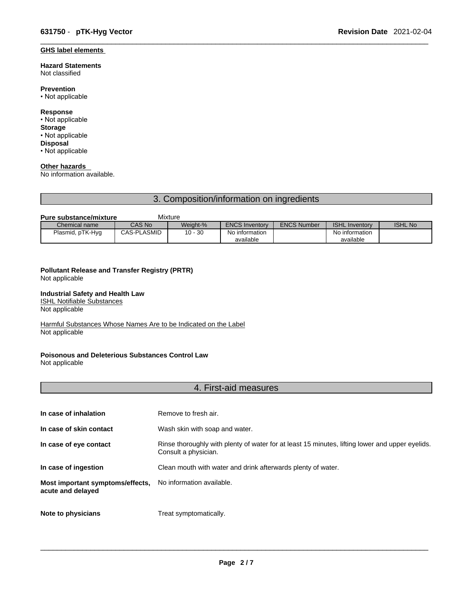## **GHS label elements**

#### **Hazard Statements**  Not classified

**Prevention**

• Not applicable

### **Response**

- Not applicable **Storage** • Not applicable
- **Disposal** • Not applicable

# **Other hazards**

No information available.

# 3. Composition/information on ingredients

### **Pure substance/mixture Mixture**

| Chemical name    | CAS No             | Weight-%        | <b>ENCS Inventory</b> | <b>ENCS Number</b> | <b>ISHL Inventory</b> | <b>ISHL No</b> |
|------------------|--------------------|-----------------|-----------------------|--------------------|-----------------------|----------------|
| Plasmid, pTK-Hyg | <b>CAS-PLASMID</b> | $-30$<br>$10 -$ | No information        |                    | No information        |                |
|                  |                    |                 | available             |                    | available             |                |

# **Pollutant Release and Transfer Registry (PRTR)**

Not applicable

## **Industrial Safety and Health Law**

ISHL Notifiable Substances

Not applicable

Harmful Substances Whose Names Are to be Indicated on the Label Not applicable

## **Poisonous and Deleterious Substances Control Law**

Not applicable

# 4. First-aid measures

| In case of inhalation                                 | Remove to fresh air.                                                                                                    |
|-------------------------------------------------------|-------------------------------------------------------------------------------------------------------------------------|
| In case of skin contact                               | Wash skin with soap and water.                                                                                          |
| In case of eye contact                                | Rinse thoroughly with plenty of water for at least 15 minutes, lifting lower and upper eyelids.<br>Consult a physician. |
| In case of ingestion                                  | Clean mouth with water and drink afterwards plenty of water.                                                            |
| Most important symptoms/effects,<br>acute and delayed | No information available.                                                                                               |
| Note to physicians                                    | Treat symptomatically.                                                                                                  |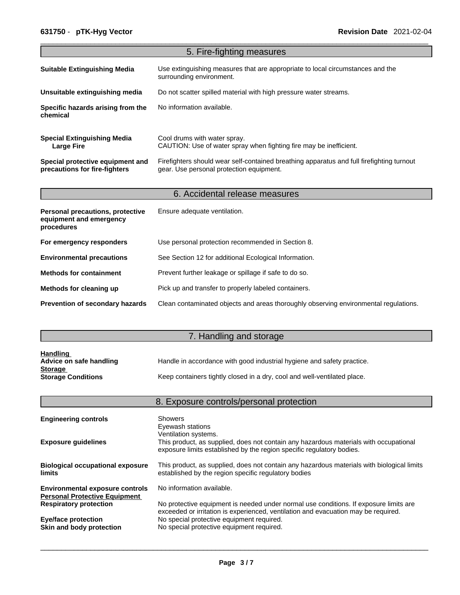| 5. Fire-fighting measures                                                        |                                                                                                                                       |  |  |  |
|----------------------------------------------------------------------------------|---------------------------------------------------------------------------------------------------------------------------------------|--|--|--|
| <b>Suitable Extinguishing Media</b>                                              | Use extinguishing measures that are appropriate to local circumstances and the<br>surrounding environment.                            |  |  |  |
| Unsuitable extinguishing media                                                   | Do not scatter spilled material with high pressure water streams.                                                                     |  |  |  |
| Specific hazards arising from the<br>chemical                                    | No information available.                                                                                                             |  |  |  |
| <b>Special Extinguishing Media</b><br><b>Large Fire</b>                          | Cool drums with water spray.<br>CAUTION: Use of water spray when fighting fire may be inefficient.                                    |  |  |  |
| Special protective equipment and<br>precautions for fire-fighters                | Firefighters should wear self-contained breathing apparatus and full firefighting turnout<br>gear. Use personal protection equipment. |  |  |  |
|                                                                                  | 6. Accidental release measures                                                                                                        |  |  |  |
| <b>Personal precautions, protective</b><br>equipment and emergency<br>procedures | Ensure adequate ventilation.                                                                                                          |  |  |  |
| For emergency responders                                                         | Use personal protection recommended in Section 8.                                                                                     |  |  |  |
| <b>Environmental precautions</b>                                                 | See Section 12 for additional Ecological Information.                                                                                 |  |  |  |
| <b>Methods for containment</b>                                                   | Prevent further leakage or spillage if safe to do so.                                                                                 |  |  |  |
| Methods for cleaning up                                                          | Pick up and transfer to properly labeled containers.                                                                                  |  |  |  |
|                                                                                  |                                                                                                                                       |  |  |  |

# 7. Handling and storage

| <b>Handling</b>           |                                                                          |
|---------------------------|--------------------------------------------------------------------------|
| Advice on safe handling   | Handle in accordance with good industrial hygiene and safety practice.   |
| <b>Storage</b>            |                                                                          |
| <b>Storage Conditions</b> | Keep containers tightly closed in a dry, cool and well-ventilated place. |

|                                                                                | 8. Exposure controls/personal protection                                                                                                                                               |
|--------------------------------------------------------------------------------|----------------------------------------------------------------------------------------------------------------------------------------------------------------------------------------|
| <b>Engineering controls</b>                                                    | Showers<br>Eyewash stations                                                                                                                                                            |
| <b>Exposure guidelines</b>                                                     | Ventilation systems.<br>This product, as supplied, does not contain any hazardous materials with occupational<br>exposure limits established by the region specific regulatory bodies. |
| <b>Biological occupational exposure</b><br>limits                              | This product, as supplied, does not contain any hazardous materials with biological limits<br>established by the region specific regulatory bodies                                     |
| <b>Environmental exposure controls</b><br><b>Personal Protective Equipment</b> | No information available.                                                                                                                                                              |
| <b>Respiratory protection</b>                                                  | No protective equipment is needed under normal use conditions. If exposure limits are<br>exceeded or irritation is experienced, ventilation and evacuation may be required.            |
| Eye/face protection<br>Skin and body protection                                | No special protective equipment required.<br>No special protective equipment required.                                                                                                 |
|                                                                                |                                                                                                                                                                                        |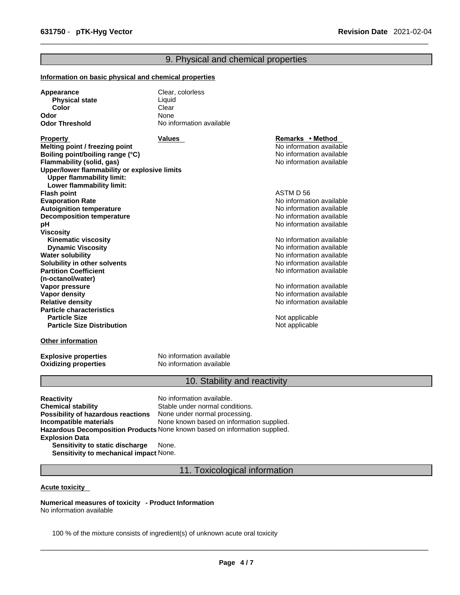# 9. Physical and chemical properties

### **Information on basic physical and chemical properties**

| Appearance            | Clear, colorless         |
|-----------------------|--------------------------|
| <b>Physical state</b> | Liauid                   |
| Color                 | Clear                    |
| Odor                  | None                     |
| <b>Odor Threshold</b> | No information available |

**Property Remarks • Property Remarks • Method Melting point / freezing point**  $\blacksquare$  **Melting point** No information available **Boiling point/boiling range (°C)** and the set of the set of the No information available **Flammability (solid, gas)** No information available **Upper/lower flammability or explosive limits Upper flammability limit: Lower flammability limit: Flash point** ASTM D 56 **Evaporation Rate**<br> **Autoignition temperature**<br> **Autoignition temperature**<br> **Autoignition available Autoignition temperature**<br> **Decomposition temperature** Noinformation available<br>
No information available **Decomposition temperature pH pH** *pH* **Viscosity Kinematic viscosity Notifically** No information available **Dynamic Viscosity No information available** No information available **Water solubility Water solubility Water solubility Water Solubility Water Solubility Water Solubility Water Solubility Water Solubility Water Solubility Water Solubility Water Solub Solubility in other solvents intervalsed notation No information available No** information available **Partition Coefficient (n-octanol/water) Vapor pressure**<br> **Vapor density**<br> **Vapor density**<br> **Vapor density Vapor density**<br> **Vapor density**<br> **Relative density**<br> **Relative density Particle characteristics Particle Size Distribution** Not applicable

### **Other information**

**Oxidizing properties** 

**Explosive properties**<br> **Oxidizing properties**<br>
No information available

## 10. Stability and reactivity

No information available

**Relative density** No information available

**Not applicable** 

**Reactivity No information available. Chemical stability** Stable under normal conditions. **Possibility of hazardous reactions** None under normal processing. **Incompatible materials** None known based on information supplied. **Hazardous Decomposition Products** None known based on information supplied. **Explosion Data Sensitivity to static discharge** None.

**Sensitivity to mechanical impact** None.

11. Toxicological information

#### **Acute toxicity**

**Numerical measures of toxicity - Product Information** No information available

100 % of the mixture consists of ingredient(s) of unknown acute oral toxicity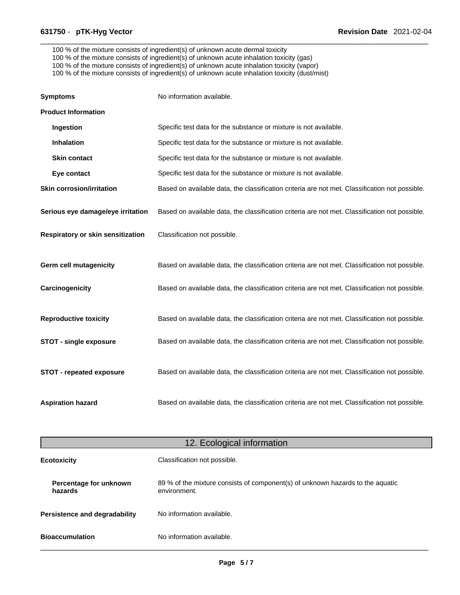100 % of the mixture consists of ingredient(s) of unknown acute dermal toxicity

- 100 % of the mixture consists of ingredient(s) of unknown acute inhalation toxicity (gas)
- 100 % of the mixture consists of ingredient(s) of unknown acute inhalation toxicity (vapor)

100 % of the mixture consists of ingredient(s) of unknown acute inhalation toxicity (dust/mist)

| <b>Symptoms</b>                   | No information available.                                                                      |
|-----------------------------------|------------------------------------------------------------------------------------------------|
| <b>Product Information</b>        |                                                                                                |
| Ingestion                         | Specific test data for the substance or mixture is not available.                              |
| <b>Inhalation</b>                 | Specific test data for the substance or mixture is not available.                              |
| <b>Skin contact</b>               | Specific test data for the substance or mixture is not available.                              |
| Eye contact                       | Specific test data for the substance or mixture is not available.                              |
| <b>Skin corrosion/irritation</b>  | Based on available data, the classification criteria are not met. Classification not possible. |
| Serious eye damage/eye irritation | Based on available data, the classification criteria are not met. Classification not possible. |
| Respiratory or skin sensitization | Classification not possible.                                                                   |
| <b>Germ cell mutagenicity</b>     | Based on available data, the classification criteria are not met. Classification not possible. |
| Carcinogenicity                   | Based on available data, the classification criteria are not met. Classification not possible. |
| <b>Reproductive toxicity</b>      | Based on available data, the classification criteria are not met. Classification not possible. |
| <b>STOT - single exposure</b>     | Based on available data, the classification criteria are not met. Classification not possible. |
| STOT - repeated exposure          | Based on available data, the classification criteria are not met. Classification not possible. |
| <b>Aspiration hazard</b>          | Based on available data, the classification criteria are not met. Classification not possible. |

| 12. Ecological information        |                                                                                                |  |  |
|-----------------------------------|------------------------------------------------------------------------------------------------|--|--|
| <b>Ecotoxicity</b>                | Classification not possible.                                                                   |  |  |
| Percentage for unknown<br>hazards | 89 % of the mixture consists of component(s) of unknown hazards to the aquatic<br>environment. |  |  |
| Persistence and degradability     | No information available.                                                                      |  |  |
| <b>Bioaccumulation</b>            | No information available.                                                                      |  |  |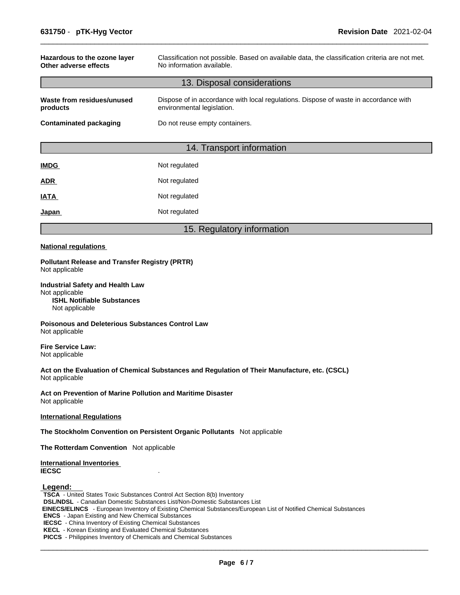| Hazardous to the ozone layer<br>Other adverse effects           | Classification not possible. Based on available data, the classification criteria are not met.<br>No information available. |  |  |
|-----------------------------------------------------------------|-----------------------------------------------------------------------------------------------------------------------------|--|--|
|                                                                 | 13. Disposal considerations                                                                                                 |  |  |
| Waste from residues/unused<br>products                          | Dispose of in accordance with local regulations. Dispose of waste in accordance with<br>environmental legislation.          |  |  |
| Do not reuse empty containers.<br><b>Contaminated packaging</b> |                                                                                                                             |  |  |
|                                                                 | 14. Transport information                                                                                                   |  |  |
|                                                                 |                                                                                                                             |  |  |

| <b>IMDG</b> | Not regulated |
|-------------|---------------|
| ADR         | Not regulated |
| IATA        | Not regulated |
| Japan       | Not regulated |

# 15. Regulatory information

### **National regulations**

**Pollutant Release and Transfer Registry (PRTR)** Not applicable

**Industrial Safety and Health Law** Not applicable **ISHL Notifiable Substances** Not applicable

**Poisonous and Deleterious Substances Control Law** Not applicable

**Fire Service Law:** Not applicable

**Act on the Evaluation of Chemical Substances and Regulation of Their Manufacture, etc. (CSCL)** Not applicable

**Act on Prevention of Marine Pollution and Maritime Disaster** Not applicable

### **International Regulations**

**The Stockholm Convention on Persistent Organic Pollutants** Not applicable

**The Rotterdam Convention** Not applicable

**International Inventories IECSC** .

### **Legend:**

**TSCA** - United States Toxic Substances Control Act Section 8(b) Inventory **DSL/NDSL** - Canadian Domestic Substances List/Non-Domestic Substances List  **EINECS/ELINCS** - European Inventory of Existing Chemical Substances/European List of Notified Chemical Substances **ENCS** - Japan Existing and New Chemical Substances **IECSC** - China Inventory of Existing Chemical Substances **KECL** - Korean Existing and Evaluated Chemical Substances **PICCS** - Philippines Inventory of Chemicals and Chemical Substances